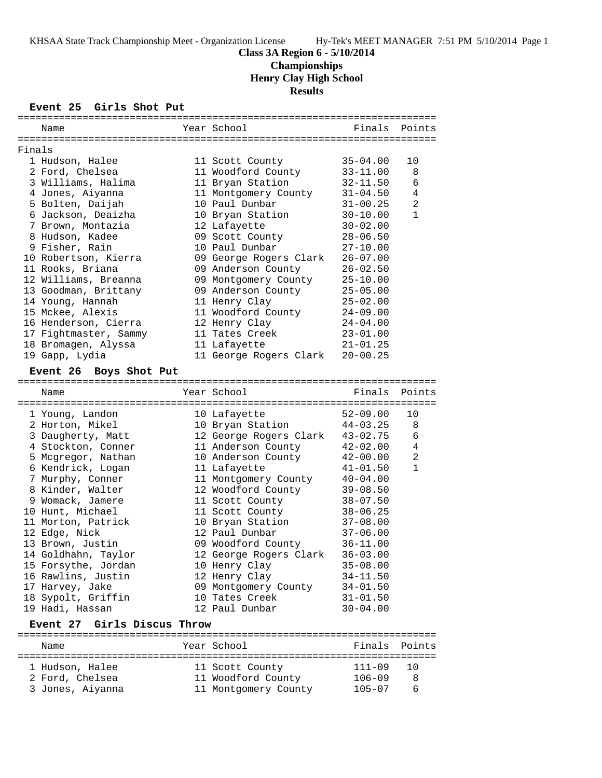### **Class 3A Region 6 - 5/10/2014**

**Championships**

**Henry Clay High School**

**Results**

### **Event 25 Girls Shot Put**

|        | Name                                  |  | Year School                     | Finals       | Points         |  |
|--------|---------------------------------------|--|---------------------------------|--------------|----------------|--|
|        |                                       |  |                                 |              |                |  |
| Finals |                                       |  |                                 |              |                |  |
|        | 1 Hudson, Halee                       |  | 11 Scott County                 | $35 - 04.00$ | 10<br>8        |  |
|        | 2 Ford, Chelsea                       |  | 11 Woodford County              | $33 - 11.00$ |                |  |
|        | 3 Williams, Halima                    |  | 11 Bryan Station                | $32 - 11.50$ | 6              |  |
|        | 4 Jones, Aiyanna                      |  | 11 Montgomery County            | $31 - 04.50$ | 4              |  |
|        | 5 Bolten, Daijah                      |  | 10 Paul Dunbar                  | $31 - 00.25$ | 2              |  |
|        | 6 Jackson, Deaizha                    |  | 10 Bryan Station                | $30 - 10.00$ | $\mathbf{1}$   |  |
|        | 7 Brown, Montazia                     |  | 12 Lafayette                    | $30 - 02.00$ |                |  |
|        | 8 Hudson, Kadee                       |  | 09 Scott County                 | $28 - 06.50$ |                |  |
|        | 9 Fisher, Rain                        |  | 10 Paul Dunbar                  | $27 - 10.00$ |                |  |
|        | 10 Robertson, Kierra                  |  | 09 George Rogers Clark          | $26 - 07.00$ |                |  |
|        | 11 Rooks, Briana                      |  | 09 Anderson County              | $26 - 02.50$ |                |  |
|        | 12 Williams, Breanna                  |  | 09 Montgomery County            | $25 - 10.00$ |                |  |
|        | 13 Goodman, Brittany                  |  | 09 Anderson County              | $25 - 05.00$ |                |  |
|        | 14 Young, Hannah                      |  | 11 Henry Clay                   | $25 - 02.00$ |                |  |
|        | 15 Mckee, Alexis                      |  | 11 Woodford County              | $24 - 09.00$ |                |  |
|        | 16 Henderson, Cierra                  |  | 12 Henry Clay                   | 24-04.00     |                |  |
|        | 17 Fightmaster, Sammy                 |  | 11 Tates Creek                  | $23 - 01.00$ |                |  |
|        | 18 Bromagen, Alyssa                   |  | 11 Lafayette                    | $21 - 01.25$ |                |  |
|        | 19 Gapp, Lydia                        |  | 11 George Rogers Clark          | $20 - 00.25$ |                |  |
|        | Event 26 Boys Shot Put                |  |                                 |              |                |  |
|        |                                       |  |                                 |              |                |  |
|        | Name                                  |  | Year School                     | Finals       | Points         |  |
|        | 1 Young, Landon                       |  | 10 Lafayette                    | $52 - 09.00$ | 10             |  |
|        | 2 Horton, Mikel                       |  | 10 Bryan Station                | $44 - 03.25$ | 8              |  |
|        | 3 Daugherty, Matt                     |  | 12 George Rogers Clark          | $43 - 02.75$ | 6              |  |
|        | 4 Stockton, Conner                    |  | 11 Anderson County              | $42 - 02.00$ | 4              |  |
|        | 5 Mcgregor, Nathan                    |  | 10 Anderson County              | $42 - 00.00$ | $\overline{a}$ |  |
|        | 6 Kendrick, Logan                     |  | 11 Lafayette                    | $41 - 01.50$ | $\mathbf{1}$   |  |
|        | 7 Murphy, Conner                      |  | 11 Montgomery County            | $40 - 04.00$ |                |  |
|        | 8 Kinder, Walter                      |  | 12 Woodford County              | $39 - 08.50$ |                |  |
|        | 9 Womack, Jamere                      |  | 11 Scott County                 | $38 - 07.50$ |                |  |
|        |                                       |  | 11 Scott County                 |              |                |  |
|        | 10 Hunt, Michael                      |  |                                 | $38 - 06.25$ |                |  |
|        | 11 Morton, Patrick                    |  | 10 Bryan Station                | $37 - 08.00$ |                |  |
|        | 12 Edge, Nick                         |  | 12 Paul Dunbar                  | $37 - 06.00$ |                |  |
|        | 13 Brown, Justin                      |  | 09 Woodford County              | $36 - 11.00$ |                |  |
|        | 14 Goldhahn, Taylor                   |  | 12 George Rogers Clark 36-03.00 |              |                |  |
|        | 15 Forsythe, Jordan                   |  | 10 Henry Clay                   | $35 - 08.00$ |                |  |
|        | 16 Rawlins, Justin                    |  | 12 Henry Clay                   | $34 - 11.50$ |                |  |
|        | 17 Harvey, Jake                       |  | 09 Montgomery County            | $34 - 01.50$ |                |  |
|        | 18 Sypolt, Griffin                    |  | 10 Tates Creek                  | $31 - 01.50$ |                |  |
|        | 19 Hadi, Hassan                       |  | 12 Paul Dunbar                  | $30 - 04.00$ |                |  |
|        | <b>Event 27</b><br>Girls Discus Throw |  |                                 |              |                |  |

======================================================================= Name The Year School The Finals Points ======================================================================= 1 Hudson, Halee 11 Scott County 111-09 10 2 Ford, Chelsea 11 Woodford County 106-09 8 3 Jones, Aiyanna 11 Montgomery County 105-07 6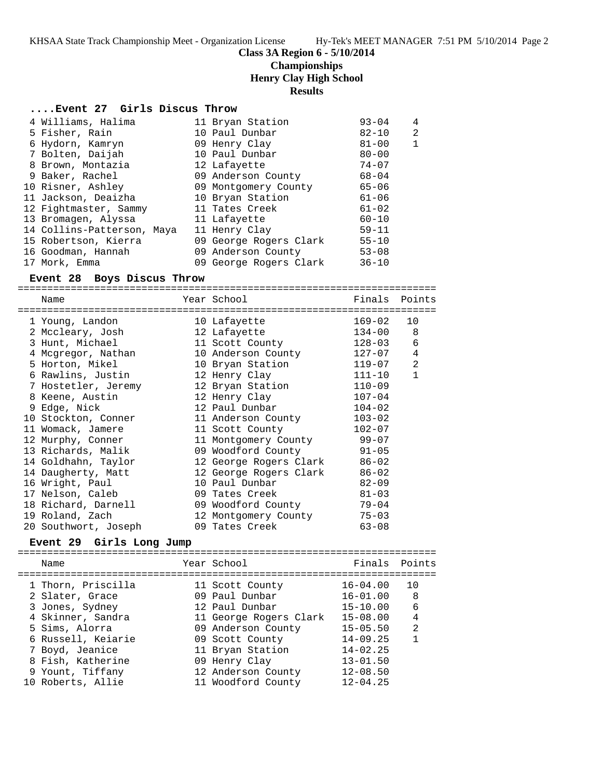KHSAA State Track Championship Meet - Organization License Hy-Tek's MEET MANAGER 7:51 PM 5/10/2014 Page 2

## **Class 3A Region 6 - 5/10/2014**

# **Championships**

**Henry Clay High School**

### **Results**

### **....Event 27 Girls Discus Throw**

| 4 Williams, Halima         | 11 Bryan Station       | $93 - 04$ | 4            |
|----------------------------|------------------------|-----------|--------------|
| 5 Fisher, Rain             | 10 Paul Dunbar         | $82 - 10$ | 2            |
| 6 Hydorn, Kamryn           | 09 Henry Clay          | $81 - 00$ | $\mathbf{1}$ |
| 7 Bolten, Daijah           | 10 Paul Dunbar         | $80 - 00$ |              |
| 8 Brown, Montazia          | 12 Lafayette           | $74 - 07$ |              |
| 9 Baker, Rachel            | 09 Anderson County     | $68 - 04$ |              |
| 10 Risner, Ashley          | 09 Montgomery County   | $65 - 06$ |              |
| 11 Jackson, Deaizha        | 10 Bryan Station       | 61-06     |              |
| 12 Fightmaster, Sammy      | 11 Tates Creek         | $61 - 02$ |              |
| 13 Bromagen, Alyssa        | 11 Lafayette           | $60 - 10$ |              |
| 14 Collins-Patterson, Maya | 11 Henry Clay          | $59 - 11$ |              |
| 15 Robertson, Kierra       | 09 George Rogers Clark | $55 - 10$ |              |
| 16 Goodman, Hannah         | 09 Anderson County     | $53 - 08$ |              |
| 17 Mork, Emma              | 09 George Rogers Clark | $36 - 10$ |              |

### **Event 28 Boys Discus Throw**

=======================================================================

| Name                 | Year School                | Finals Points |              |
|----------------------|----------------------------|---------------|--------------|
| 1 Young, Landon      | 10 Lafayette               | 169-02        | 10           |
| 2 Mccleary, Josh     | 12 Lafayette               | $134 - 00$    | - 8          |
| 3 Hunt, Michael      | 11 Scott County            | $128 - 03$    | 6            |
| 4 Mcgregor, Nathan   | 10 Anderson County         | 127-07        | 4            |
| 5 Horton, Mikel      | 10 Bryan Station           | $119 - 07$    | 2            |
| 6 Rawlins, Justin    | 12 Henry Clay              | $111 - 10$    | $\mathbf{1}$ |
| 7 Hostetler, Jeremy  | 12 Bryan Station           | $110 - 09$    |              |
| 8 Keene, Austin      | 12 Henry Clay              | $107 - 04$    |              |
| 9 Edge, Nick         | 12 Paul Dunbar             | $104 - 02$    |              |
| 10 Stockton, Conner  | 11 Anderson County         | $103 - 02$    |              |
| 11 Womack, Jamere    | 11 Scott County            | $102 - 07$    |              |
| 12 Murphy, Conner    | 11 Montgomery County 99-07 |               |              |
| 13 Richards, Malik   | 09 Woodford County 91-05   |               |              |
| 14 Goldhahn, Taylor  | 12 George Rogers Clark     | $86 - 02$     |              |
| 14 Daugherty, Matt   | 12 George Rogers Clark     | $86 - 02$     |              |
| 16 Wright, Paul      | 10 Paul Dunbar             | $82 - 09$     |              |
| 17 Nelson, Caleb     | 09 Tates Creek             | $81 - 03$     |              |
| 18 Richard, Darnell  | 09 Woodford County         | 79-04         |              |
| 19 Roland, Zach      | 12 Montgomery County       | $75 - 03$     |              |
| 20 Southwort, Joseph | 09 Tates Creek             | $63 - 08$     |              |

## **Event 29 Girls Long Jump**

|  | Name               | Year School            | Finals Points |                |
|--|--------------------|------------------------|---------------|----------------|
|  | 1 Thorn, Priscilla | 11 Scott County        | $16 - 04.00$  | 10             |
|  | 2 Slater, Grace    | 09 Paul Dunbar         | $16 - 01.00$  | -8             |
|  | 3 Jones, Sydney    | 12 Paul Dunbar         | $15 - 10.00$  | 6              |
|  | 4 Skinner, Sandra  | 11 George Rogers Clark | $15 - 08.00$  | 4              |
|  | 5 Sims, Alorra     | 09 Anderson County     | $15 - 05.50$  | $\mathfrak{D}$ |
|  | 6 Russell, Keiarie | 09 Scott County        | $14 - 09.25$  | 1              |
|  | 7 Boyd, Jeanice    | 11 Bryan Station       | $14 - 02.25$  |                |
|  | 8 Fish, Katherine  | 09 Henry Clay          | $13 - 01.50$  |                |
|  | 9 Yount, Tiffany   | 12 Anderson County     | $12 - 08.50$  |                |
|  | 10 Roberts, Allie  | 11 Woodford County     | $12 - 04.25$  |                |
|  |                    |                        |               |                |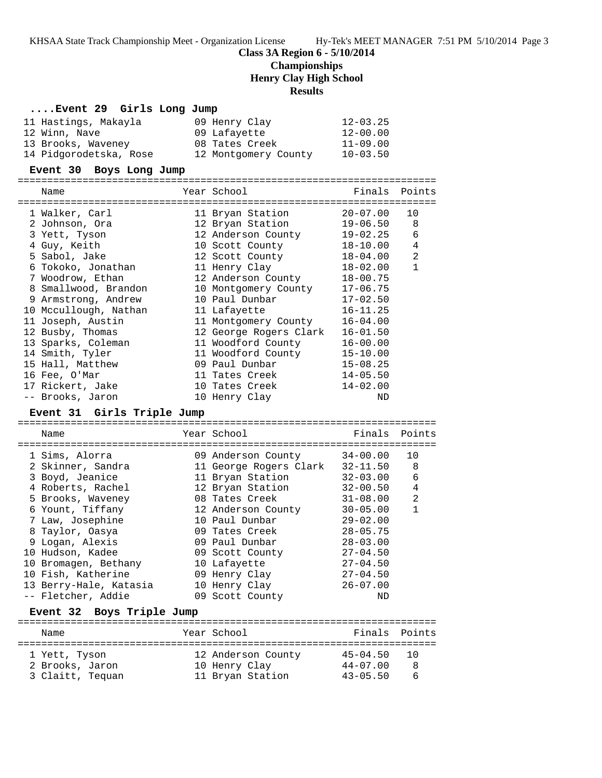## **Class 3A Region 6 - 5/10/2014**

## **Championships**

**Henry Clay High School**

#### **Results**

### **....Event 29 Girls Long Jump**

| 11 Hastings, Makayla   | 09 Henry Clay        | $12 - 03.25$ |
|------------------------|----------------------|--------------|
| 12 Winn, Nave          | 09 Lafayette         | $12 - 00.00$ |
| 13 Brooks, Waveney     | 08 Tates Creek       | $11 - 09.00$ |
| 14 Pidgorodetska, Rose | 12 Montgomery County | $10 - 03.50$ |

### **Event 30 Boys Long Jump**

| Name                                           | Year School                                     | Finals Points |                |
|------------------------------------------------|-------------------------------------------------|---------------|----------------|
| ============================<br>1 Walker, Carl | ---------------------------<br>11 Bryan Station | $20 - 07.00$  | 10             |
| 2 Johnson, Ora                                 | 12 Bryan Station                                | 19-06.50      | 8              |
| 3 Yett, Tyson                                  | 12 Anderson County                              | 19-02.25      | $\epsilon$     |
| 4 Guy, Keith                                   | 10 Scott County                                 | 18-10.00      | 4              |
| 5 Sabol, Jake                                  | 12 Scott County                                 | 18-04.00      | $\overline{2}$ |
| 6 Tokoko, Jonathan                             | 11 Henry Clay                                   | 18-02.00      | $\mathbf{1}$   |
| 7 Woodrow, Ethan                               | 12 Anderson County                              | $18 - 00.75$  |                |
| 8 Smallwood, Brandon                           | 10 Montgomery County                            | $17 - 06.75$  |                |
| 9 Armstrong, Andrew                            | 10 Paul Dunbar                                  | $17 - 02.50$  |                |
| 10 Mccullough, Nathan                          | 11 Lafayette                                    | $16 - 11.25$  |                |
| 11 Joseph, Austin                              | 11 Montgomery County                            | $16 - 04.00$  |                |
| 12 Busby, Thomas                               | 12 George Rogers Clark                          | $16 - 01.50$  |                |
| 13 Sparks, Coleman                             | 11 Woodford County                              | $16 - 00.00$  |                |
| 14 Smith, Tyler                                | 11 Woodford County                              | $15 - 10.00$  |                |
| 15 Hall, Matthew                               | 09 Paul Dunbar                                  | $15 - 08.25$  |                |
| 16 Fee, O'Mar                                  | 11 Tates Creek                                  | $14 - 05.50$  |                |
| 17 Rickert, Jake                               | 10 Tates Creek                                  | $14 - 02.00$  |                |
| -- Brooks, Jaron                               | 10 Henry Clay                                   | ND            |                |

## **Event 31 Girls Triple Jump**

======================================================================= Name The Year School The Finals Points ======================================================================= 1 Sims, Alorra 09 Anderson County 34-00.00 10 2 Skinner, Sandra 11 George Rogers Clark 32-11.50 8 3 Boyd, Jeanice 11 Bryan Station 32-03.00 6 4 Roberts, Rachel 12 Bryan Station 32-00.50 4 5 Brooks, Waveney 08 Tates Creek 31-08.00 2 6 Yount, Tiffany 12 Anderson County 30-05.00 1 7 Law, Josephine 10 Paul Dunbar 29-02.00 8 Taylor, Oasya 09 Tates Creek 28-05.75 9 Logan, Alexis 09 Paul Dunbar 28-03.00 10 Hudson, Kadee 09 Scott County 27-04.50 10 Bromagen, Bethany 10 Lafayette 27-04.50 10 Fish, Katherine 09 Henry Clay 27-04.50 13 Berry-Hale, Katasia 10 Henry Clay 26-07.00 -- Fletcher, Addie 09 Scott County ND

### **Event 32 Boys Triple Jump**

| Name             | Year School        | Finals Points |   |
|------------------|--------------------|---------------|---|
|                  |                    |               |   |
| 1 Yett, Tyson    | 12 Anderson County | $45 - 04.50$  |   |
| 2 Brooks, Jaron  | 10 Henry Clay      | $44 - 07.00$  | 8 |
| 3 Claitt, Tequan | 11 Bryan Station   | $43 - 05.50$  |   |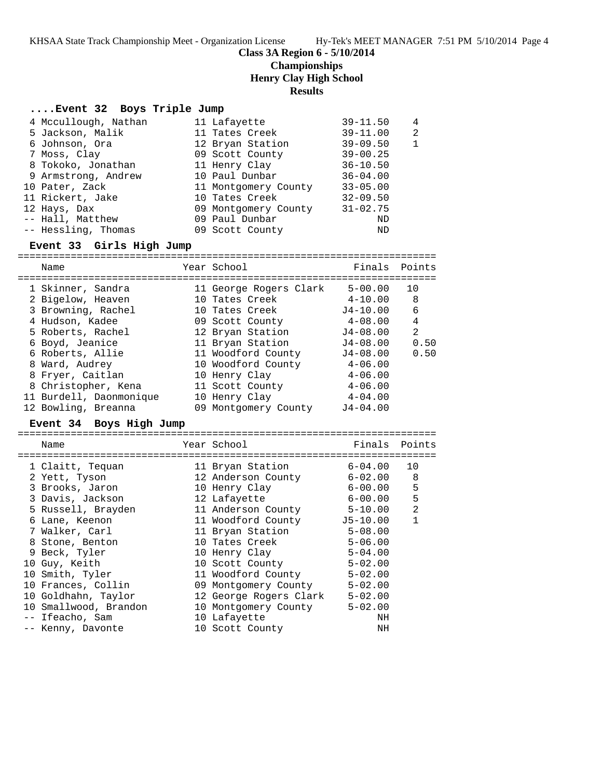KHSAA State Track Championship Meet - Organization License Hy-Tek's MEET MANAGER 7:51 PM 5/10/2014 Page 4

### **Class 3A Region 6 - 5/10/2014**

## **Championships**

**Henry Clay High School**

### **Results**

### **....Event 32 Boys Triple Jump**

|  | 4 Mccullough, Nathan | 11 Lafayette         | $39 - 11.50$ | 4 |
|--|----------------------|----------------------|--------------|---|
|  | 5 Jackson, Malik     | 11 Tates Creek       | $39 - 11.00$ | 2 |
|  | 6 Johnson, Ora       | 12 Bryan Station     | $39 - 09.50$ |   |
|  | 7 Moss, Clay         | 09 Scott County      | $39 - 00.25$ |   |
|  | 8 Tokoko, Jonathan   | 11 Henry Clay        | $36 - 10.50$ |   |
|  | 9 Armstrong, Andrew  | 10 Paul Dunbar       | $36 - 04.00$ |   |
|  | 10 Pater, Zack       | 11 Montgomery County | $33 - 05.00$ |   |
|  | 11 Rickert, Jake     | 10 Tates Creek       | $32 - 09.50$ |   |
|  | 12 Hays, Dax         | 09 Montgomery County | $31 - 02.75$ |   |
|  | -- Hall, Matthew     | 09 Paul Dunbar       | ND           |   |
|  | -- Hessling, Thomas  | 09 Scott County      | ND           |   |
|  |                      |                      |              |   |

## **Event 33 Girls High Jump**

======================================================================= Name Year School Finals Points ======================================================================= 1 Skinner, Sandra 11 George Rogers Clark 5-00.00 10 2 Bigelow, Heaven 10 Tates Creek 4-10.00 8 3 Browning, Rachel 10 Tates Creek J4-10.00 6 4 Hudson, Kadee 09 Scott County 4-08.00 4 5 Roberts, Rachel 12 Bryan Station J4-08.00 2 6 Boyd, Jeanice 11 Bryan Station J4-08.00 0.50 6 Roberts, Allie 11 Woodford County J4-08.00 0.50 8 Ward, Audrey 10 Woodford County 4-06.00 8 Fryer, Caitlan 10 Henry Clay 4-06.00 8 Christopher, Kena 11 Scott County 4-06.00 11 Burdell, Daonmonique 10 Henry Clay 19404.00 12 Bowling, Breanna 09 Montgomery County J4-04.00

### **Event 34 Boys High Jump**

|   | Name                  | Year School            | Finals       | Points         |
|---|-----------------------|------------------------|--------------|----------------|
|   | 1 Claitt, Tequan      | 11 Bryan Station       | $6 - 04.00$  | 10             |
|   | 2 Yett, Tyson         | 12 Anderson County     | $6 - 02.00$  | 8              |
|   | 3 Brooks, Jaron       | 10 Henry Clay          | $6 - 00.00$  | 5              |
|   | 3 Davis, Jackson      | 12 Lafayette           | $6 - 00.00$  | 5              |
|   | 5 Russell, Brayden    | 11 Anderson County     | $5 - 10.00$  | $\mathfrak{D}$ |
| 6 | Lane, Keenon          | 11 Woodford County     | $J5 - 10.00$ |                |
|   | 7 Walker, Carl        | 11 Bryan Station       | $5 - 08.00$  |                |
|   | 8 Stone, Benton       | 10 Tates Creek         | $5 - 06.00$  |                |
|   | 9 Beck, Tyler         | 10 Henry Clay          | $5 - 04.00$  |                |
|   | 10 Guy, Keith         | 10 Scott County        | $5 - 02.00$  |                |
|   | 10 Smith, Tyler       | 11 Woodford County     | $5 - 02.00$  |                |
|   | 10 Frances, Collin    | 09 Montgomery County   | $5 - 02.00$  |                |
|   | 10 Goldhahn, Taylor   | 12 George Rogers Clark | $5 - 02.00$  |                |
|   | 10 Smallwood, Brandon | 10 Montgomery County   | $5 - 02.00$  |                |
|   | -- Ifeacho, Sam       | 10 Lafayette           | NH           |                |
|   | -- Kenny, Davonte     | 10 Scott County        | NH           |                |